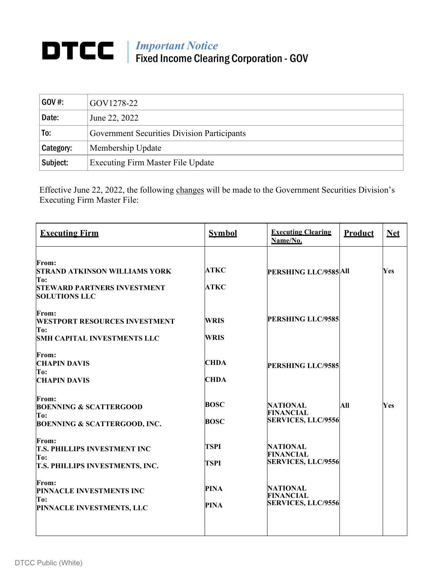## *Important Notice* Fixed Income Clearing Corporation - GOV

| $GOV#$ :  | GOV1278-22                                  |
|-----------|---------------------------------------------|
| Date:     | June 22, 2022                               |
| To:       | Government Securities Division Participants |
| Category: | Membership Update                           |
| Subject:  | Executing Firm Master File Update           |

Effective June 22, 2022, the following changes will be made to the Government Securities Division's Executing Firm Master File:

| <b>Executing Firm</b>                                                                                              | <b>Symbol</b>              | <b>Executing Clearing</b><br>Name/No.                            | <b>Product</b> | <b>Net</b> |
|--------------------------------------------------------------------------------------------------------------------|----------------------------|------------------------------------------------------------------|----------------|------------|
| From:<br><b>STRAND ATKINSON WILLIAMS YORK</b><br>To:<br><b>STEWARD PARTNERS INVESTMENT</b><br><b>SOLUTIONS LLC</b> | <b>ATKC</b><br><b>ATKC</b> | PERSHING LLC/9585 All                                            |                | Yes        |
| <b>From:</b><br><b>WESTPORT RESOURCES INVESTMENT</b><br>To:<br><b>SMH CAPITAL INVESTMENTS LLC</b>                  | <b>WRIS</b><br>WRIS        | <b>PERSHING LLC/9585</b>                                         |                |            |
| From:<br><b>CHAPIN DAVIS</b><br>To:<br><b>CHAPIN DAVIS</b>                                                         | <b>CHDA</b><br><b>CHDA</b> | <b>PERSHING LLC/9585</b>                                         |                |            |
| From:<br><b>BOENNING &amp; SCATTERGOOD</b><br>To:<br><b>BOENNING &amp; SCATTERGOOD, INC.</b>                       | <b>BOSC</b><br><b>BOSC</b> | <b>NATIONAL</b><br><b>FINANCIAL</b><br><b>SERVICES, LLC/9556</b> | All            | Yes        |
| From:<br><b>T.S. PHILLIPS INVESTMENT INC</b><br>To:<br><b>T.S. PHILLIPS INVESTMENTS, INC.</b>                      | <b>TSPI</b><br><b>TSPI</b> | <b>NATIONAL</b><br><b>FINANCIAL</b><br><b>SERVICES, LLC/9556</b> |                |            |
| From:<br>PINNACLE INVESTMENTS INC<br>To:<br>PINNACLE INVESTMENTS, LLC                                              | <b>PINA</b><br><b>PINA</b> | <b>NATIONAL</b><br><b>FINANCIAL</b><br><b>SERVICES, LLC/9556</b> |                |            |
|                                                                                                                    |                            |                                                                  |                |            |